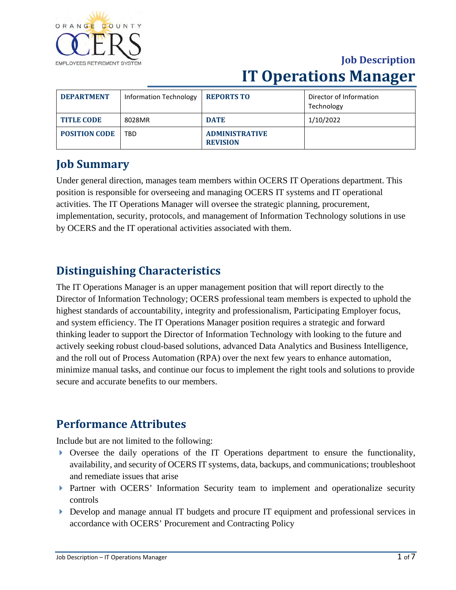

| <b>DEPARTMENT</b>    | <b>Information Technology</b> | <b>REPORTS TO</b>                        | Director of Information<br>Technology |
|----------------------|-------------------------------|------------------------------------------|---------------------------------------|
| <b>TITLE CODE</b>    | 8028MR                        | <b>DATE</b>                              | 1/10/2022                             |
| <b>POSITION CODE</b> | TBD                           | <b>ADMINISTRATIVE</b><br><b>REVISION</b> |                                       |

### **Job Summary**

Under general direction, manages team members within OCERS IT Operations department. This position is responsible for overseeing and managing OCERS IT systems and IT operational activities. The IT Operations Manager will oversee the strategic planning, procurement, implementation, security, protocols, and management of Information Technology solutions in use by OCERS and the IT operational activities associated with them.

### **Distinguishing Characteristics**

The IT Operations Manager is an upper management position that will report directly to the Director of Information Technology; OCERS professional team members is expected to uphold the highest standards of accountability, integrity and professionalism, Participating Employer focus, and system efficiency. The IT Operations Manager position requires a strategic and forward thinking leader to support the Director of Information Technology with looking to the future and actively seeking robust cloud-based solutions, advanced Data Analytics and Business Intelligence, and the roll out of Process Automation (RPA) over the next few years to enhance automation, minimize manual tasks, and continue our focus to implement the right tools and solutions to provide secure and accurate benefits to our members.

### **Performance Attributes**

Include but are not limited to the following:

- $\triangleright$  Oversee the daily operations of the IT Operations department to ensure the functionality, availability, and security of OCERS IT systems, data, backups, and communications; troubleshoot and remediate issues that arise
- Partner with OCERS' Information Security team to implement and operationalize security controls
- Develop and manage annual IT budgets and procure IT equipment and professional services in accordance with OCERS' Procurement and Contracting Policy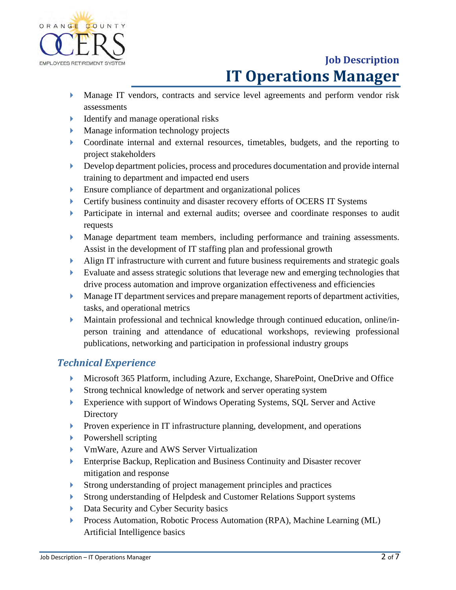

- Manage IT vendors, contracts and service level agreements and perform vendor risk assessments
- **I** Identify and manage operational risks
- **Manage information technology projects**
- Coordinate internal and external resources, timetables, budgets, and the reporting to project stakeholders
- Develop department policies, process and procedures documentation and provide internal training to department and impacted end users
- Ensure compliance of department and organizational polices
- Certify business continuity and disaster recovery efforts of OCERS IT Systems
- **Participate in internal and external audits; oversee and coordinate responses to audit** requests
- Manage department team members, including performance and training assessments. Assist in the development of IT staffing plan and professional growth
- Align IT infrastructure with current and future business requirements and strategic goals
- Evaluate and assess strategic solutions that leverage new and emerging technologies that drive process automation and improve organization effectiveness and efficiencies
- **Manage IT department services and prepare management reports of department activities,** tasks, and operational metrics
- Maintain professional and technical knowledge through continued education, online/inperson training and attendance of educational workshops, reviewing professional publications, networking and participation in professional industry groups

### *Technical Experience*

- ▶ Microsoft 365 Platform, including Azure, Exchange, SharePoint, OneDrive and Office
- Strong technical knowledge of network and server operating system
- Experience with support of Windows Operating Systems, SQL Server and Active **Directory**
- **Proven experience in IT infrastructure planning, development, and operations**
- **Powershell scripting**
- VmWare, Azure and AWS Server Virtualization
- Enterprise Backup, Replication and Business Continuity and Disaster recover mitigation and response
- Strong understanding of project management principles and practices
- Strong understanding of Helpdesk and Customer Relations Support systems
- Data Security and Cyber Security basics
- Process Automation, Robotic Process Automation (RPA), Machine Learning (ML) Artificial Intelligence basics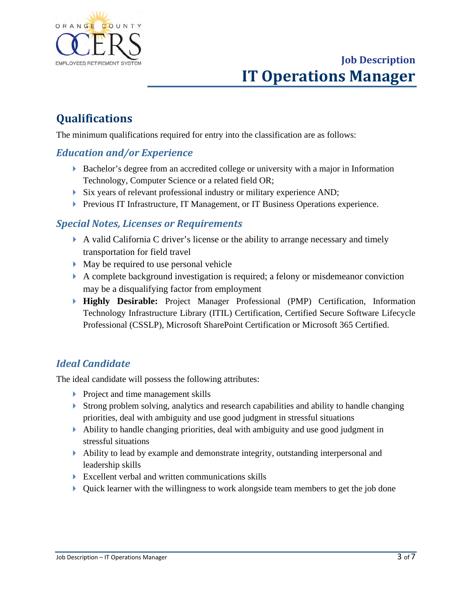

## **Qualifications**

The minimum qualifications required for entry into the classification are as follows:

### *Education and/or Experience*

- Bachelor's degree from an accredited college or university with a major in Information Technology, Computer Science or a related field OR;
- Six years of relevant professional industry or military experience AND;
- **Previous IT Infrastructure, IT Management, or IT Business Operations experience.**

#### *Special Notes, Licenses or Requirements*

- A valid California C driver's license or the ability to arrange necessary and timely transportation for field travel
- May be required to use personal vehicle
- A complete background investigation is required; a felony or misdemeanor conviction may be a disqualifying factor from employment
- **Highly Desirable:** Project Manager Professional (PMP) Certification, Information Technology Infrastructure Library (ITIL) Certification, Certified Secure Software Lifecycle Professional (CSSLP), Microsoft SharePoint Certification or Microsoft 365 Certified.

### *Ideal Candidate*

The ideal candidate will possess the following attributes:

- **Project and time management skills**
- Strong problem solving, analytics and research capabilities and ability to handle changing priorities, deal with ambiguity and use good judgment in stressful situations
- Ability to handle changing priorities, deal with ambiguity and use good judgment in stressful situations
- Ability to lead by example and demonstrate integrity, outstanding interpersonal and leadership skills
- Excellent verbal and written communications skills
- Quick learner with the willingness to work alongside team members to get the job done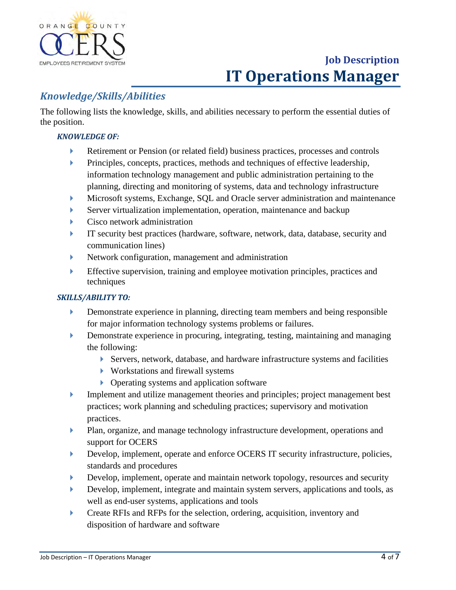

### *Knowledge/Skills/Abilities*

The following lists the knowledge, skills, and abilities necessary to perform the essential duties of the position.

#### *KNOWLEDGE OF:*

- Retirement or Pension (or related field) business practices, processes and controls
- **Principles, concepts, practices, methods and techniques of effective leadership,** information technology management and public administration pertaining to the planning, directing and monitoring of systems, data and technology infrastructure
- Microsoft systems, Exchange, SQL and Oracle server administration and maintenance
- Server virtualization implementation, operation, maintenance and backup
- **Cisco network administration**
- IT security best practices (hardware, software, network, data, database, security and communication lines)
- Network configuration, management and administration
- Effective supervision, training and employee motivation principles, practices and techniques

#### *SKILLS/ABILITY TO:*

- Demonstrate experience in planning, directing team members and being responsible for major information technology systems problems or failures.
- Demonstrate experience in procuring, integrating, testing, maintaining and managing the following:
	- Servers, network, database, and hardware infrastructure systems and facilities
	- Workstations and firewall systems
	- ▶ Operating systems and application software
- Implement and utilize management theories and principles; project management best practices; work planning and scheduling practices; supervisory and motivation practices.
- Plan, organize, and manage technology infrastructure development, operations and support for OCERS
- Develop, implement, operate and enforce OCERS IT security infrastructure, policies, standards and procedures
- Develop, implement, operate and maintain network topology, resources and security
- Develop, implement, integrate and maintain system servers, applications and tools, as well as end-user systems, applications and tools
- **Create RFIs and RFPs for the selection, ordering, acquisition, inventory and** disposition of hardware and software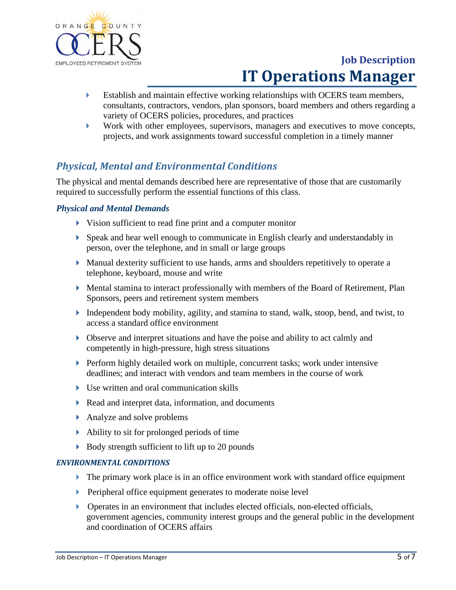

- Establish and maintain effective working relationships with OCERS team members, consultants, contractors, vendors, plan sponsors, board members and others regarding a variety of OCERS policies, procedures, and practices
- Work with other employees, supervisors, managers and executives to move concepts, projects, and work assignments toward successful completion in a timely manner

### *Physical, Mental and Environmental Conditions*

The physical and mental demands described here are representative of those that are customarily required to successfully perform the essential functions of this class.

#### *Physical and Mental Demands*

- Vision sufficient to read fine print and a computer monitor
- Speak and hear well enough to communicate in English clearly and understandably in person, over the telephone, and in small or large groups
- Manual dexterity sufficient to use hands, arms and shoulders repetitively to operate a telephone, keyboard, mouse and write
- Mental stamina to interact professionally with members of the Board of Retirement, Plan Sponsors, peers and retirement system members
- Independent body mobility, agility, and stamina to stand, walk, stoop, bend, and twist, to access a standard office environment
- Observe and interpret situations and have the poise and ability to act calmly and competently in high-pressure, high stress situations
- **Perform highly detailed work on multiple, concurrent tasks; work under intensive** deadlines; and interact with vendors and team members in the course of work
- Use written and oral communication skills
- Read and interpret data, information, and documents
- Analyze and solve problems
- Ability to sit for prolonged periods of time
- $\triangleright$  Body strength sufficient to lift up to 20 pounds

#### *ENVIRONMENTAL CONDITIONS*

- $\blacktriangleright$  The primary work place is in an office environment work with standard office equipment
- **Peripheral office equipment generates to moderate noise level**
- Operates in an environment that includes elected officials, non-elected officials, government agencies, community interest groups and the general public in the development and coordination of OCERS affairs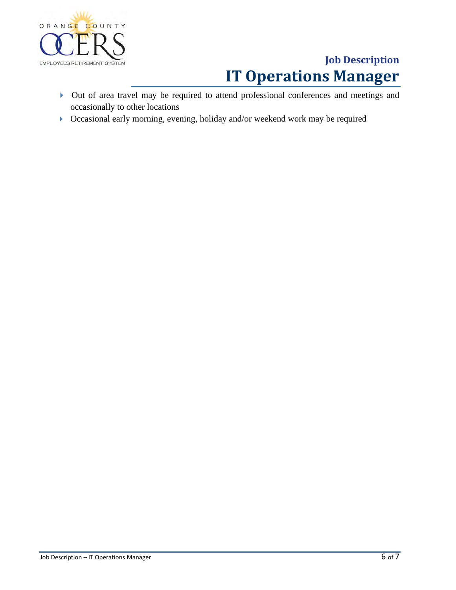

- Out of area travel may be required to attend professional conferences and meetings and occasionally to other locations
- Occasional early morning, evening, holiday and/or weekend work may be required